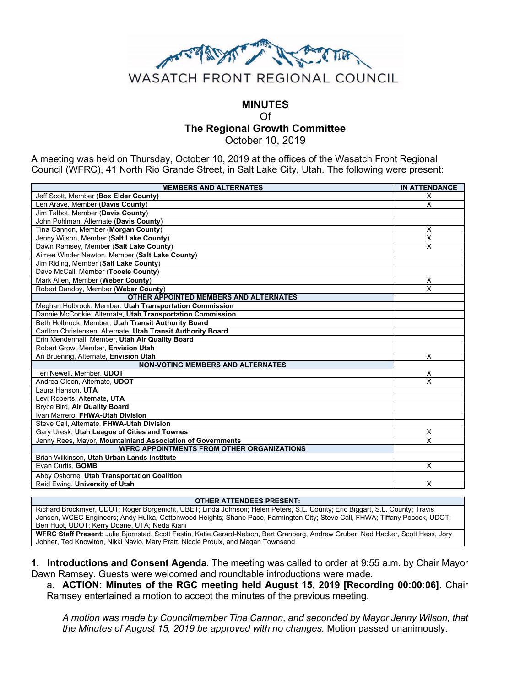

## **MINUTES** Of **The Regional Growth Committee** October 10, 2019

A meeting was held on Thursday, October 10, 2019 at the offices of the Wasatch Front Regional Council (WFRC), 41 North Rio Grande Street, in Salt Lake City, Utah. The following were present:

| <b>MEMBERS AND ALTERNATES</b>                                | <b>IN ATTENDANCE</b>    |
|--------------------------------------------------------------|-------------------------|
| Jeff Scott, Member (Box Elder County)                        | X                       |
| Len Arave, Member (Davis County)                             | X                       |
| Jim Talbot, Member (Davis County)                            |                         |
| John Pohlman, Alternate (Davis County)                       |                         |
| Tina Cannon, Member (Morgan County)                          | X                       |
| Jenny Wilson, Member (Salt Lake County)                      | $\overline{\mathsf{x}}$ |
| Dawn Ramsey, Member (Salt Lake County)                       | $\overline{\mathsf{x}}$ |
| Aimee Winder Newton, Member (Salt Lake County)               |                         |
| Jim Riding, Member (Salt Lake County)                        |                         |
| Dave McCall, Member (Tooele County)                          |                         |
| Mark Allen, Member (Weber County)                            | X                       |
| Robert Dandoy, Member (Weber County)                         | $\overline{\mathsf{x}}$ |
| OTHER APPOINTED MEMBERS AND ALTERNATES                       |                         |
| Meghan Holbrook, Member, Utah Transportation Commission      |                         |
| Dannie McConkie, Alternate, Utah Transportation Commission   |                         |
| Beth Holbrook, Member, Utah Transit Authority Board          |                         |
| Carlton Christensen, Alternate, Utah Transit Authority Board |                         |
| Erin Mendenhall, Member, Utah Air Quality Board              |                         |
| Robert Grow, Member, Envision Utah                           |                         |
| Ari Bruening, Alternate, Envision Utah                       | X                       |
| <b>NON-VOTING MEMBERS AND ALTERNATES</b>                     |                         |
| Teri Newell, Member, UDOT                                    | X                       |
| Andrea Olson. Alternate. UDOT                                | X                       |
| Laura Hanson. UTA                                            |                         |
| Levi Roberts, Alternate, UTA                                 |                         |
| Bryce Bird, Air Quality Board                                |                         |
| Ivan Marrero, FHWA-Utah Division                             |                         |
| Steve Call, Alternate, FHWA-Utah Division                    |                         |
| Gary Uresk, Utah League of Cities and Townes                 | X                       |
| Jenny Rees, Mayor, Mountainland Association of Governments   | $\times$                |
| <b>WFRC APPOINTMENTS FROM OTHER ORGANIZATIONS</b>            |                         |
| Brian Wilkinson, Utah Urban Lands Institute                  |                         |
| Evan Curtis. GOMB                                            | $\overline{\mathsf{x}}$ |
| Abby Osborne, Utah Transportation Coalition                  |                         |
| Reid Ewing, University of Utah                               | $\times$                |

**OTHER ATTENDEES PRESENT:**

Richard Brockmyer, UDOT; Roger Borgenicht, UBET; Linda Johnson; Helen Peters, S.L. County; Eric Biggart, S.L. County; Travis Jensen, WCEC Engineers; Andy Hulka, Cottonwood Heights; Shane Pace, Farmington City; Steve Call, FHWA; Tiffany Pocock, UDOT; Ben Huot, UDOT; Kerry Doane, UTA; Neda Kiani

**WFRC Staff Present**: Julie Bjornstad, Scott Festin, Katie Gerard-Nelson, Bert Granberg, Andrew Gruber, Ned Hacker, Scott Hess, Jory Johner, Ted Knowlton, Nikki Navio, Mary Pratt, Nicole Proulx, and Megan Townsend

**1. Introductions and Consent Agenda.** The meeting was called to order at 9:55 a.m. by Chair Mayor Dawn Ramsey. Guests were welcomed and roundtable introductions were made.

a. **ACTION: Minutes of the RGC meeting held August 15, 2019 [Recording 00:00:06]**. Chair Ramsey entertained a motion to accept the minutes of the previous meeting.

*A motion was made by Councilmember Tina Cannon, and seconded by Mayor Jenny Wilson, that the Minutes of August 15, 2019 be approved with no changes.* Motion passed unanimously.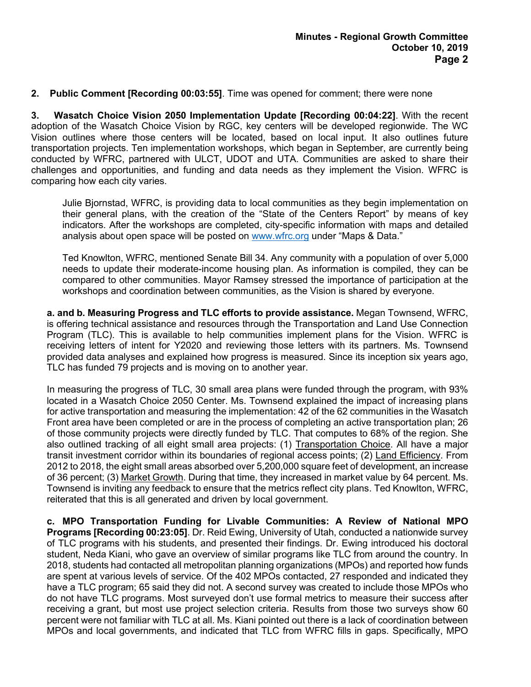## **2. Public Comment [Recording 00:03:55]**. Time was opened for comment; there were none

**3. Wasatch Choice Vision 2050 Implementation Update [Recording 00:04:22]**. With the recent adoption of the Wasatch Choice Vision by RGC, key centers will be developed regionwide. The WC Vision outlines where those centers will be located, based on local input. It also outlines future transportation projects. Ten implementation workshops, which began in September, are currently being conducted by WFRC, partnered with ULCT, UDOT and UTA. Communities are asked to share their challenges and opportunities, and funding and data needs as they implement the Vision. WFRC is comparing how each city varies.

Julie Bjornstad, WFRC, is providing data to local communities as they begin implementation on their general plans, with the creation of the "State of the Centers Report" by means of key indicators. After the workshops are completed, city-specific information with maps and detailed analysis about open space will be posted on [www.wfrc.org](http://www.wfrc.org/) under "Maps & Data."

Ted Knowlton, WFRC, mentioned Senate Bill 34. Any community with a population of over 5,000 needs to update their moderate-income housing plan. As information is compiled, they can be compared to other communities. Mayor Ramsey stressed the importance of participation at the workshops and coordination between communities, as the Vision is shared by everyone.

**a. and b. Measuring Progress and TLC efforts to provide assistance.** Megan Townsend, WFRC, is offering technical assistance and resources through the Transportation and Land Use Connection Program (TLC). This is available to help communities implement plans for the Vision. WFRC is receiving letters of intent for Y2020 and reviewing those letters with its partners. Ms. Townsend provided data analyses and explained how progress is measured. Since its inception six years ago, TLC has funded 79 projects and is moving on to another year.

In measuring the progress of TLC, 30 small area plans were funded through the program, with 93% located in a Wasatch Choice 2050 Center. Ms. Townsend explained the impact of increasing plans for active transportation and measuring the implementation: 42 of the 62 communities in the Wasatch Front area have been completed or are in the process of completing an active transportation plan; 26 of those community projects were directly funded by TLC. That computes to 68% of the region. She also outlined tracking of all eight small area projects: (1) Transportation Choice. All have a major transit investment corridor within its boundaries of regional access points; (2) Land Efficiency. From 2012 to 2018, the eight small areas absorbed over 5,200,000 square feet of development, an increase of 36 percent; (3) Market Growth. During that time, they increased in market value by 64 percent. Ms. Townsend is inviting any feedback to ensure that the metrics reflect city plans. Ted Knowlton, WFRC, reiterated that this is all generated and driven by local government.

**c. MPO Transportation Funding for Livable Communities: A Review of National MPO Programs [Recording 00:23:05]**. Dr. Reid Ewing, University of Utah, conducted a nationwide survey of TLC programs with his students, and presented their findings. Dr. Ewing introduced his doctoral student, Neda Kiani, who gave an overview of similar programs like TLC from around the country. In 2018, students had contacted all metropolitan planning organizations (MPOs) and reported how funds are spent at various levels of service. Of the 402 MPOs contacted, 27 responded and indicated they have a TLC program; 65 said they did not. A second survey was created to include those MPOs who do not have TLC programs. Most surveyed don't use formal metrics to measure their success after receiving a grant, but most use project selection criteria. Results from those two surveys show 60 percent were not familiar with TLC at all. Ms. Kiani pointed out there is a lack of coordination between MPOs and local governments, and indicated that TLC from WFRC fills in gaps. Specifically, MPO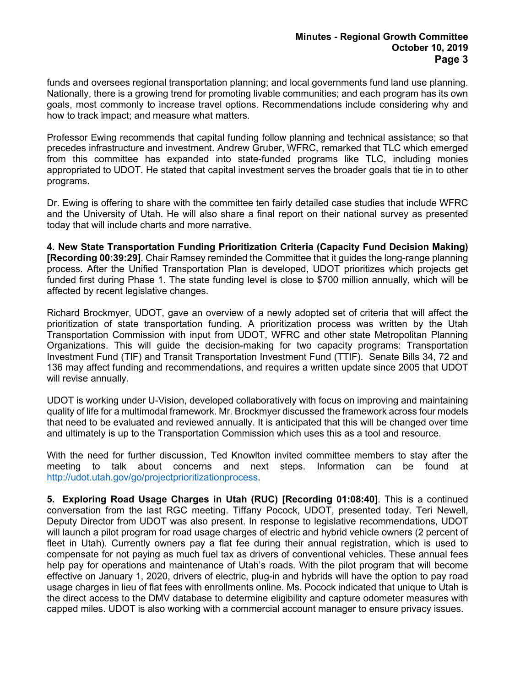funds and oversees regional transportation planning; and local governments fund land use planning. Nationally, there is a growing trend for promoting livable communities; and each program has its own goals, most commonly to increase travel options. Recommendations include considering why and how to track impact; and measure what matters.

Professor Ewing recommends that capital funding follow planning and technical assistance; so that precedes infrastructure and investment. Andrew Gruber, WFRC, remarked that TLC which emerged from this committee has expanded into state-funded programs like TLC, including monies appropriated to UDOT. He stated that capital investment serves the broader goals that tie in to other programs.

Dr. Ewing is offering to share with the committee ten fairly detailed case studies that include WFRC and the University of Utah. He will also share a final report on their national survey as presented today that will include charts and more narrative.

**4. New State Transportation Funding Prioritization Criteria (Capacity Fund Decision Making) [Recording 00:39:29]**. Chair Ramsey reminded the Committee that it guides the long-range planning process. After the Unified Transportation Plan is developed, UDOT prioritizes which projects get funded first during Phase 1. The state funding level is close to \$700 million annually, which will be affected by recent legislative changes.

Richard Brockmyer, UDOT, gave an overview of a newly adopted set of criteria that will affect the prioritization of state transportation funding. A prioritization process was written by the Utah Transportation Commission with input from UDOT, WFRC and other state Metropolitan Planning Organizations. This will guide the decision-making for two capacity programs: Transportation Investment Fund (TIF) and Transit Transportation Investment Fund (TTIF). Senate Bills 34, 72 and 136 may affect funding and recommendations, and requires a written update since 2005 that UDOT will revise annually.

UDOT is working under U-Vision, developed collaboratively with focus on improving and maintaining quality of life for a multimodal framework. Mr. Brockmyer discussed the framework across four models that need to be evaluated and reviewed annually. It is anticipated that this will be changed over time and ultimately is up to the Transportation Commission which uses this as a tool and resource.

With the need for further discussion, Ted Knowlton invited committee members to stay after the meeting to talk about concerns and next steps. Information can be found at [http://udot.utah.gov/go/projectprioritizationprocess.](http://udot.utah.gov/go/projectprioritizationprocess)

**5. Exploring Road Usage Charges in Utah (RUC) [Recording 01:08:40]**. This is a continued conversation from the last RGC meeting. Tiffany Pocock, UDOT, presented today. Teri Newell, Deputy Director from UDOT was also present. In response to legislative recommendations, UDOT will launch a pilot program for road usage charges of electric and hybrid vehicle owners (2 percent of fleet in Utah). Currently owners pay a flat fee during their annual registration, which is used to compensate for not paying as much fuel tax as drivers of conventional vehicles. These annual fees help pay for operations and maintenance of Utah's roads. With the pilot program that will become effective on January 1, 2020, drivers of electric, plug-in and hybrids will have the option to pay road usage charges in lieu of flat fees with enrollments online. Ms. Pocock indicated that unique to Utah is the direct access to the DMV database to determine eligibility and capture odometer measures with capped miles. UDOT is also working with a commercial account manager to ensure privacy issues.